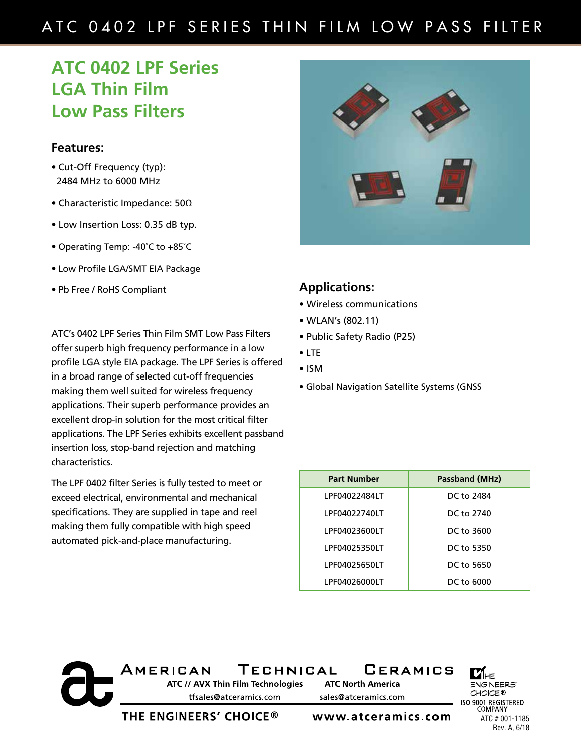# ATC 0402 LPF SERIES THIN FILM LOW PASS FILTER

# **ATC 0402 LPF Series LGA Thin Film Low Pass Filters**

#### **Features:**

- Cut-Off Frequency (typ): 2484 MHz to 6000 MHz
- Characteristic Impedance: 50Ω
- Low Insertion Loss: 0.35 dB typ.
- Operating Temp: -40˚C to +85˚C
- Low Profile LGA/SMT EIA Package
- Pb Free / RoHS Compliant

ATC's 0402 LPF Series Thin Film SMT Low Pass Filters offer superb high frequency performance in a low profile LGA style EIA package. The LPF Series is offered in a broad range of selected cut-off frequencies making them well suited for wireless frequency applications. Their superb performance provides an excellent drop-in solution for the most critical filter applications. The LPF Series exhibits excellent passband insertion loss, stop-band rejection and matching characteristics.

The LPF 0402 filter Series is fully tested to meet or exceed electrical, environmental and mechanical specifications. They are supplied in tape and reel making them fully compatible with high speed automated pick-and-place manufacturing.



### **Applications:**

- Wireless communications
- WLAN's (802.11)
- Public Safety Radio (P25)
- LTE
- ISM
- Global Navigation Satellite Systems (GNSS

| <b>Part Number</b> | <b>Passband (MHz)</b> |
|--------------------|-----------------------|
| LPF04022484LT      | DC to 2484            |
| LPF04022740LT      | DC to 2740            |
| LPF04023600LT      | DC to 3600            |
| LPF04025350LT      | DC to 5350            |
| LPF04025650LT      | DC to 5650            |
| LPF04026000LT      | DC to 6000            |

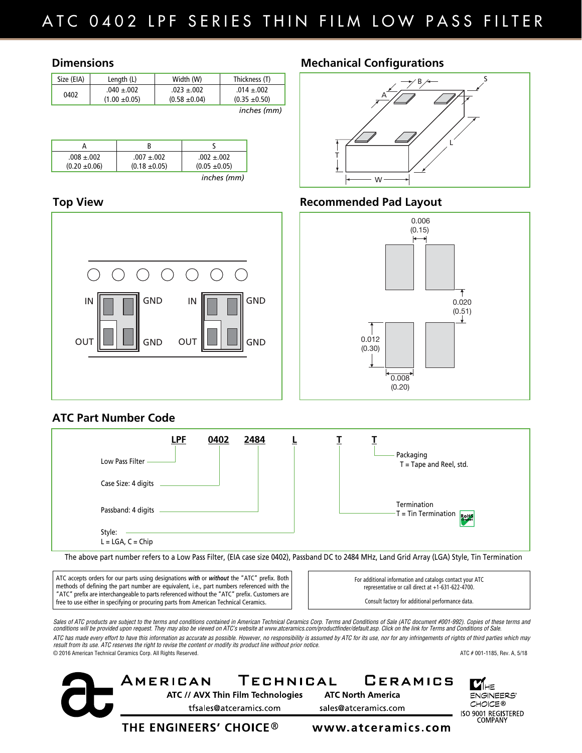#### **Dimensions**

| Size (EIA) | Length (L)                           | Width (W)                            | Thickness (T)                        |
|------------|--------------------------------------|--------------------------------------|--------------------------------------|
| 0402       | $.040 \pm .002$<br>$(1.00 \pm 0.05)$ | $.023 \pm .002$<br>$(0.58 \pm 0.04)$ | $.014 \pm .002$<br>$(0.35 \pm 0.50)$ |
|            |                                      |                                      | inches (mm)                          |

| $.008 \pm .002$<br>$(0.20 \pm 0.06)$ | $.007 + .002$<br>$(0.18 \pm 0.05)$ | $.002 + .002$<br>$(0.05 \pm 0.05)$ |
|--------------------------------------|------------------------------------|------------------------------------|
|                                      |                                    | inches (mm)                        |

#### **Top View**



## **Mechanical Configurations**



# **Recommended Pad Layout**



## **ATC Part Number Code**



The above part number refers to a Low Pass Filter, (EIA case size 0402), Passband DC to 2484 MHz, Land Grid Array (LGA) Style, Tin Termination

ATC accepts orders for our parts using designations *with* or *without* the "ATC" prefix. Both methods of defining the part number are equivalent, i.e., part numbers referenced with the "ATC" prefix are interchangeable to parts referenced without the "ATC" prefix. Customers are free to use either in specifying or procuring parts from American Technical Ceramics.

For additional information and catalogs contact your ATC representative or call direct at +1-631-622-4700.

Consult factory for additional performance data.

Sales of ATC products are subject to the terms and conditions contained in American Technical Ceramics Corp. Terms and Conditions of Sale (ATC document #001-992). Copies of these terms and *conditions will be provided upon request. They may also be viewed on ATC's website at www.atceramics.com/productfinder/default.asp. Click on the link for Terms and Conditions of Sale. ATC has made every effort to have this information as accurate as possible. However, no responsibility is assumed by ATC for its use, nor for any infringements of rights of third parties which may result from its use. ATC reserves the right to revise the content or modify its product line without prior notice.* © 2016 American Technical Ceramics Corp. All Rights Reserved. ATC # 001-1185, Rev. A, 5/18

TECHNICAL AMERICAN ATC // AVX Thin Film Technologies tfsales@atceramics.com

**GERAMICS ATC North America** sales@atceramics.com

11 HE **ENGINEERS'** CHOICE® ISO 9001 REGISTERED **COMPANY** 

THE ENGINEERS' CHOICE  $^\circledR$ 

www.atceramics.com